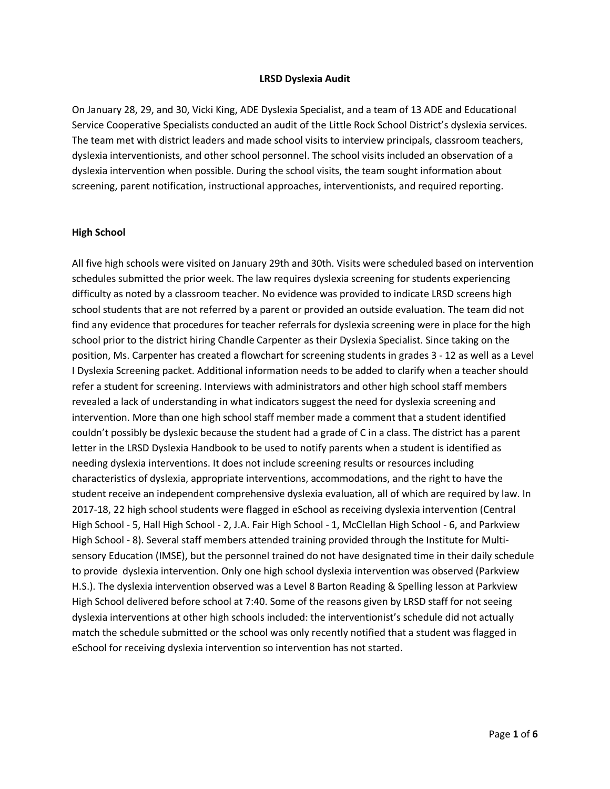#### **LRSD Dyslexia Audit**

On January 28, 29, and 30, Vicki King, ADE Dyslexia Specialist, and a team of 13 ADE and Educational Service Cooperative Specialists conducted an audit of the Little Rock School District's dyslexia services. The team met with district leaders and made school visits to interview principals, classroom teachers, dyslexia interventionists, and other school personnel. The school visits included an observation of a dyslexia intervention when possible. During the school visits, the team sought information about screening, parent notification, instructional approaches, interventionists, and required reporting.

#### **High School**

All five high schools were visited on January 29th and 30th. Visits were scheduled based on intervention schedules submitted the prior week. The law requires dyslexia screening for students experiencing difficulty as noted by a classroom teacher. No evidence was provided to indicate LRSD screens high school students that are not referred by a parent or provided an outside evaluation. The team did not find any evidence that procedures for teacher referrals for dyslexia screening were in place for the high school prior to the district hiring Chandle Carpenter as their Dyslexia Specialist. Since taking on the position, Ms. Carpenter has created a flowchart for screening students in grades 3 - 12 as well as a Level I Dyslexia Screening packet. Additional information needs to be added to clarify when a teacher should refer a student for screening. Interviews with administrators and other high school staff members revealed a lack of understanding in what indicators suggest the need for dyslexia screening and intervention. More than one high school staff member made a comment that a student identified couldn't possibly be dyslexic because the student had a grade of C in a class. The district has a parent letter in the LRSD Dyslexia Handbook to be used to notify parents when a student is identified as needing dyslexia interventions. It does not include screening results or resources including characteristics of dyslexia, appropriate interventions, accommodations, and the right to have the student receive an independent comprehensive dyslexia evaluation, all of which are required by law. In 2017-18, 22 high school students were flagged in eSchool as receiving dyslexia intervention (Central High School - 5, Hall High School - 2, J.A. Fair High School - 1, McClellan High School - 6, and Parkview High School - 8). Several staff members attended training provided through the Institute for Multisensory Education (IMSE), but the personnel trained do not have designated time in their daily schedule to provide dyslexia intervention. Only one high school dyslexia intervention was observed (Parkview H.S.). The dyslexia intervention observed was a Level 8 Barton Reading & Spelling lesson at Parkview High School delivered before school at 7:40. Some of the reasons given by LRSD staff for not seeing dyslexia interventions at other high schools included: the interventionist's schedule did not actually match the schedule submitted or the school was only recently notified that a student was flagged in eSchool for receiving dyslexia intervention so intervention has not started.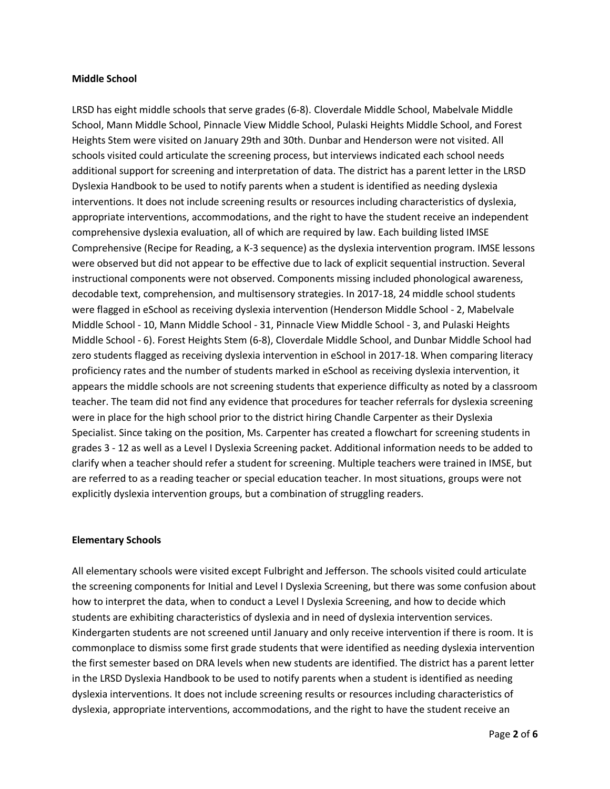#### **Middle School**

LRSD has eight middle schools that serve grades (6-8). Cloverdale Middle School, Mabelvale Middle School, Mann Middle School, Pinnacle View Middle School, Pulaski Heights Middle School, and Forest Heights Stem were visited on January 29th and 30th. Dunbar and Henderson were not visited. All schools visited could articulate the screening process, but interviews indicated each school needs additional support for screening and interpretation of data. The district has a parent letter in the LRSD Dyslexia Handbook to be used to notify parents when a student is identified as needing dyslexia interventions. It does not include screening results or resources including characteristics of dyslexia, appropriate interventions, accommodations, and the right to have the student receive an independent comprehensive dyslexia evaluation, all of which are required by law. Each building listed IMSE Comprehensive (Recipe for Reading, a K-3 sequence) as the dyslexia intervention program. IMSE lessons were observed but did not appear to be effective due to lack of explicit sequential instruction. Several instructional components were not observed. Components missing included phonological awareness, decodable text, comprehension, and multisensory strategies. In 2017-18, 24 middle school students were flagged in eSchool as receiving dyslexia intervention (Henderson Middle School - 2, Mabelvale Middle School - 10, Mann Middle School - 31, Pinnacle View Middle School - 3, and Pulaski Heights Middle School - 6). Forest Heights Stem (6-8), Cloverdale Middle School, and Dunbar Middle School had zero students flagged as receiving dyslexia intervention in eSchool in 2017-18. When comparing literacy proficiency rates and the number of students marked in eSchool as receiving dyslexia intervention, it appears the middle schools are not screening students that experience difficulty as noted by a classroom teacher. The team did not find any evidence that procedures for teacher referrals for dyslexia screening were in place for the high school prior to the district hiring Chandle Carpenter as their Dyslexia Specialist. Since taking on the position, Ms. Carpenter has created a flowchart for screening students in grades 3 - 12 as well as a Level I Dyslexia Screening packet. Additional information needs to be added to clarify when a teacher should refer a student for screening. Multiple teachers were trained in IMSE, but are referred to as a reading teacher or special education teacher. In most situations, groups were not explicitly dyslexia intervention groups, but a combination of struggling readers.

#### **Elementary Schools**

All elementary schools were visited except Fulbright and Jefferson. The schools visited could articulate the screening components for Initial and Level I Dyslexia Screening, but there was some confusion about how to interpret the data, when to conduct a Level I Dyslexia Screening, and how to decide which students are exhibiting characteristics of dyslexia and in need of dyslexia intervention services. Kindergarten students are not screened until January and only receive intervention if there is room. It is commonplace to dismiss some first grade students that were identified as needing dyslexia intervention the first semester based on DRA levels when new students are identified. The district has a parent letter in the LRSD Dyslexia Handbook to be used to notify parents when a student is identified as needing dyslexia interventions. It does not include screening results or resources including characteristics of dyslexia, appropriate interventions, accommodations, and the right to have the student receive an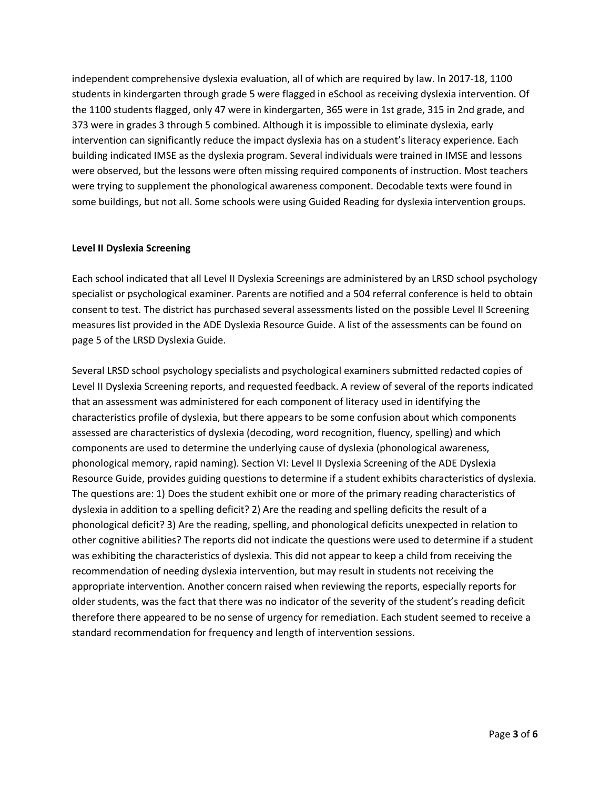independent comprehensive dyslexia evaluation, all of which are required by law. In 2017-18, 1100 students in kindergarten through grade 5 were flagged in eSchool as receiving dyslexia intervention. Of the 1100 students flagged, only 47 were in kindergarten, 365 were in 1st grade, 315 in 2nd grade, and 373 were in grades 3 through 5 combined. Although it is impossible to eliminate dyslexia, early intervention can significantly reduce the impact dyslexia has on a student's literacy experience. Each building indicated IMSE as the dyslexia program. Several individuals were trained in IMSE and lessons were observed, but the lessons were often missing required components of instruction. Most teachers were trying to supplement the phonological awareness component. Decodable texts were found in some buildings, but not all. Some schools were using Guided Reading for dyslexia intervention groups.

### **Level II Dyslexia Screening**

Each school indicated that all Level II Dyslexia Screenings are administered by an LRSD school psychology specialist or psychological examiner. Parents are notified and a 504 referral conference is held to obtain consent to test. The district has purchased several assessments listed on the possible Level II Screening measures list provided in the ADE Dyslexia Resource Guide. A list of the assessments can be found on page 5 of the LRSD Dyslexia Guide.

Several LRSD school psychology specialists and psychological examiners submitted redacted copies of Level II Dyslexia Screening reports, and requested feedback. A review of several of the reports indicated that an assessment was administered for each component of literacy used in identifying the characteristics profile of dyslexia, but there appears to be some confusion about which components assessed are characteristics of dyslexia (decoding, word recognition, fluency, spelling) and which components are used to determine the underlying cause of dyslexia (phonological awareness, phonological memory, rapid naming). Section VI: Level II Dyslexia Screening of the ADE Dyslexia Resource Guide, provides guiding questions to determine if a student exhibits characteristics of dyslexia. The questions are: 1) Does the student exhibit one or more of the primary reading characteristics of dyslexia in addition to a spelling deficit? 2) Are the reading and spelling deficits the result of a phonological deficit? 3) Are the reading, spelling, and phonological deficits unexpected in relation to other cognitive abilities? The reports did not indicate the questions were used to determine if a student was exhibiting the characteristics of dyslexia. This did not appear to keep a child from receiving the recommendation of needing dyslexia intervention, but may result in students not receiving the appropriate intervention. Another concern raised when reviewing the reports, especially reports for older students, was the fact that there was no indicator of the severity of the student's reading deficit therefore there appeared to be no sense of urgency for remediation. Each student seemed to receive a standard recommendation for frequency and length of intervention sessions.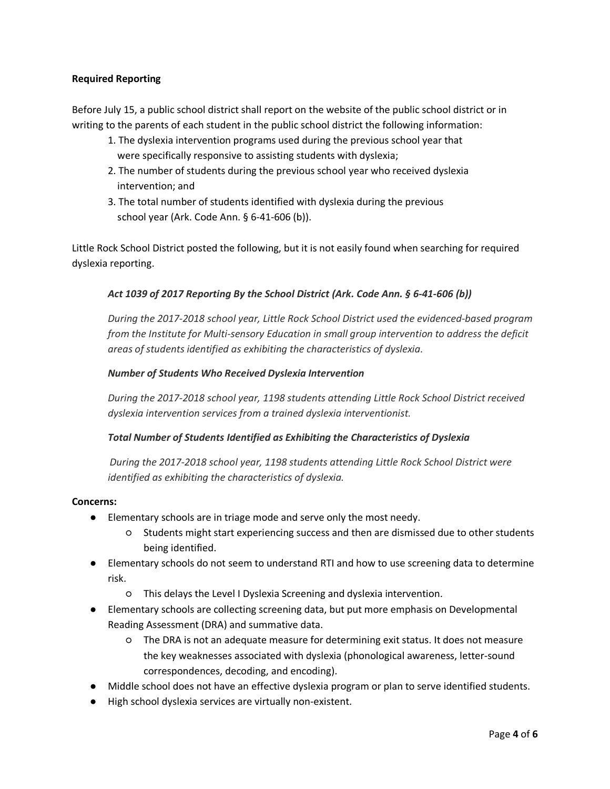# **Required Reporting**

Before July 15, a public school district shall report on the website of the public school district or in writing to the parents of each student in the public school district the following information:

- 1. The dyslexia intervention programs used during the previous school year that were specifically responsive to assisting students with dyslexia;
- 2. The number of students during the previous school year who received dyslexia intervention; and
- 3. The total number of students identified with dyslexia during the previous school year (Ark. Code Ann. § 6-41-606 (b)).

Little Rock School District posted the following, but it is not easily found when searching for required dyslexia reporting.

# *Act 1039 of 2017 Reporting By the School District (Ark. Code Ann. § 6-41-606 (b))*

*During the 2017-2018 school year, Little Rock School District used the evidenced-based program from the Institute for Multi-sensory Education in small group intervention to address the deficit areas of students identified as exhibiting the characteristics of dyslexia.*

# *Number of Students Who Received Dyslexia Intervention*

*During the 2017-2018 school year, 1198 students attending Little Rock School District received dyslexia intervention services from a trained dyslexia interventionist.*

# *Total Number of Students Identified as Exhibiting the Characteristics of Dyslexia*

*During the 2017-2018 school year, 1198 students attending Little Rock School District were identified as exhibiting the characteristics of dyslexia.*

#### **Concerns:**

- Elementary schools are in triage mode and serve only the most needy.
	- Students might start experiencing success and then are dismissed due to other students being identified.
- Elementary schools do not seem to understand RTI and how to use screening data to determine risk.
	- This delays the Level I Dyslexia Screening and dyslexia intervention.
- Elementary schools are collecting screening data, but put more emphasis on Developmental Reading Assessment (DRA) and summative data.
	- The DRA is not an adequate measure for determining exit status. It does not measure the key weaknesses associated with dyslexia (phonological awareness, letter-sound correspondences, decoding, and encoding).
- Middle school does not have an effective dyslexia program or plan to serve identified students.
- High school dyslexia services are virtually non-existent.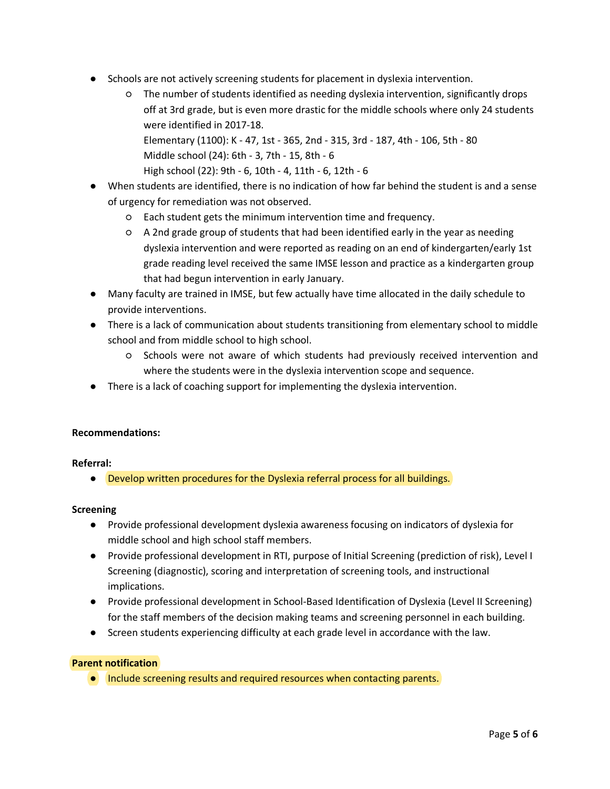- Schools are not actively screening students for placement in dyslexia intervention.
	- The number of students identified as needing dyslexia intervention, significantly drops off at 3rd grade, but is even more drastic for the middle schools where only 24 students were identified in 2017-18. Elementary (1100): K - 47, 1st - 365, 2nd - 315, 3rd - 187, 4th - 106, 5th - 80 Middle school (24): 6th - 3, 7th - 15, 8th - 6 High school (22): 9th - 6, 10th - 4, 11th - 6, 12th - 6
- When students are identified, there is no indication of how far behind the student is and a sense of urgency for remediation was not observed.
	- Each student gets the minimum intervention time and frequency.
	- A 2nd grade group of students that had been identified early in the year as needing dyslexia intervention and were reported as reading on an end of kindergarten/early 1st grade reading level received the same IMSE lesson and practice as a kindergarten group that had begun intervention in early January.
- Many faculty are trained in IMSE, but few actually have time allocated in the daily schedule to provide interventions.
- There is a lack of communication about students transitioning from elementary school to middle school and from middle school to high school.
	- Schools were not aware of which students had previously received intervention and where the students were in the dyslexia intervention scope and sequence.
- There is a lack of coaching support for implementing the dyslexia intervention.

# **Recommendations:**

#### **Referral:**

● Develop written procedures for the Dyslexia referral process for all buildings.

#### **Screening**

- Provide professional development dyslexia awareness focusing on indicators of dyslexia for middle school and high school staff members.
- Provide professional development in RTI, purpose of Initial Screening (prediction of risk), Level I Screening (diagnostic), scoring and interpretation of screening tools, and instructional implications.
- Provide professional development in School-Based Identification of Dyslexia (Level II Screening) for the staff members of the decision making teams and screening personnel in each building.
- Screen students experiencing difficulty at each grade level in accordance with the law.

# **Parent notification**

● Include screening results and required resources when contacting parents.